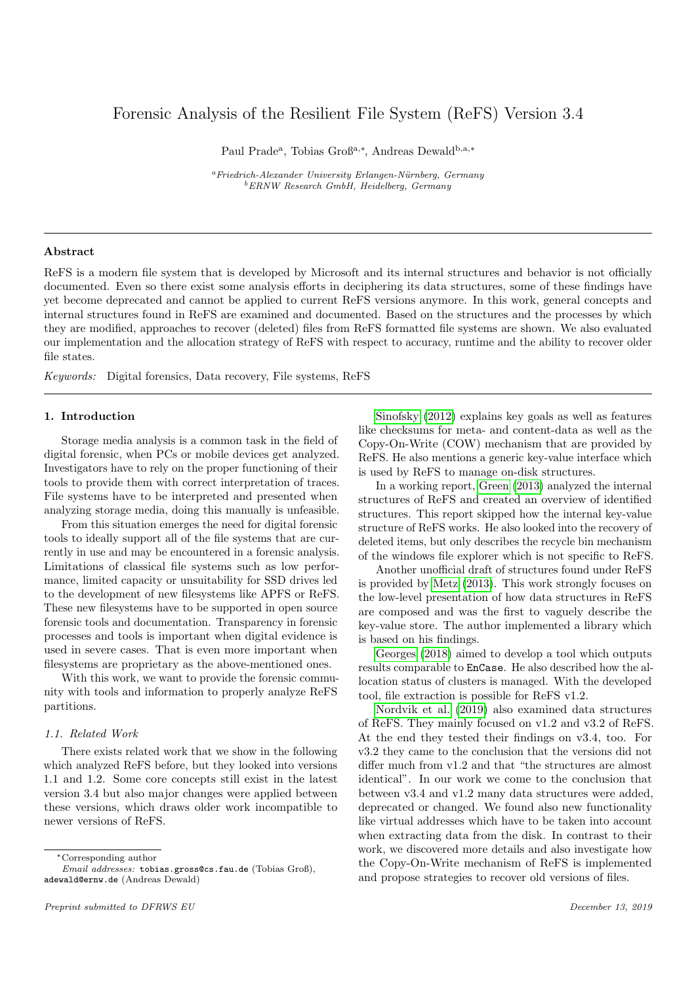# Forensic Analysis of the Resilient File System (ReFS) Version 3.4

Paul Prade<sup>a</sup>, Tobias Groß<sup>a,∗</sup>, Andreas Dewald<sup>b,a,∗</sup>

 $a<sup>a</sup> Friedrich-Alexander University Erlangen-Nürnberg, Germany$ <sup>b</sup>ERNW Research GmbH, Heidelberg, Germany

#### Abstract

ReFS is a modern file system that is developed by Microsoft and its internal structures and behavior is not officially documented. Even so there exist some analysis efforts in deciphering its data structures, some of these findings have yet become deprecated and cannot be applied to current ReFS versions anymore. In this work, general concepts and internal structures found in ReFS are examined and documented. Based on the structures and the processes by which they are modified, approaches to recover (deleted) files from ReFS formatted file systems are shown. We also evaluated our implementation and the allocation strategy of ReFS with respect to accuracy, runtime and the ability to recover older file states.

Keywords: Digital forensics, Data recovery, File systems, ReFS

# 1. Introduction

Storage media analysis is a common task in the field of digital forensic, when PCs or mobile devices get analyzed. Investigators have to rely on the proper functioning of their tools to provide them with correct interpretation of traces. File systems have to be interpreted and presented when analyzing storage media, doing this manually is unfeasible.

From this situation emerges the need for digital forensic tools to ideally support all of the file systems that are currently in use and may be encountered in a forensic analysis. Limitations of classical file systems such as low performance, limited capacity or unsuitability for SSD drives led to the development of new filesystems like APFS or ReFS. These new filesystems have to be supported in open source forensic tools and documentation. Transparency in forensic processes and tools is important when digital evidence is used in severe cases. That is even more important when filesystems are proprietary as the above-mentioned ones.

With this work, we want to provide the forensic community with tools and information to properly analyze ReFS partitions.

# 1.1. Related Work

There exists related work that we show in the following which analyzed ReFS before, but they looked into versions 1.1 and 1.2. Some core concepts still exist in the latest version 3.4 but also major changes were applied between these versions, which draws older work incompatible to newer versions of ReFS.

<sup>∗</sup>Corresponding author

Email addresses: tobias.gross@cs.fau.de (Tobias Groß), adewald@ernw.de (Andreas Dewald)

[Sinofsky](#page-10-0) [\(2012\)](#page-10-0) explains key goals as well as features like checksums for meta- and content-data as well as the Copy-On-Write (COW) mechanism that are provided by ReFS. He also mentions a generic key-value interface which is used by ReFS to manage on-disk structures.

In a working report, [Green](#page-10-1) [\(2013\)](#page-10-1) analyzed the internal structures of ReFS and created an overview of identified structures. This report skipped how the internal key-value structure of ReFS works. He also looked into the recovery of deleted items, but only describes the recycle bin mechanism of the windows file explorer which is not specific to ReFS.

Another unofficial draft of structures found under ReFS is provided by [Metz](#page-10-2) [\(2013\)](#page-10-2). This work strongly focuses on the low-level presentation of how data structures in ReFS are composed and was the first to vaguely describe the key-value store. The author implemented a library which is based on his findings.

[Georges](#page-10-3) [\(2018\)](#page-10-3) aimed to develop a tool which outputs results comparable to EnCase. He also described how the allocation status of clusters is managed. With the developed tool, file extraction is possible for ReFS v1.2.

[Nordvik et al.](#page-10-4) [\(2019\)](#page-10-4) also examined data structures of ReFS. They mainly focused on v1.2 and v3.2 of ReFS. At the end they tested their findings on v3.4, too. For v3.2 they came to the conclusion that the versions did not differ much from v1.2 and that "the structures are almost identical". In our work we come to the conclusion that between v3.4 and v1.2 many data structures were added, deprecated or changed. We found also new functionality like virtual addresses which have to be taken into account when extracting data from the disk. In contrast to their work, we discovered more details and also investigate how the Copy-On-Write mechanism of ReFS is implemented and propose strategies to recover old versions of files.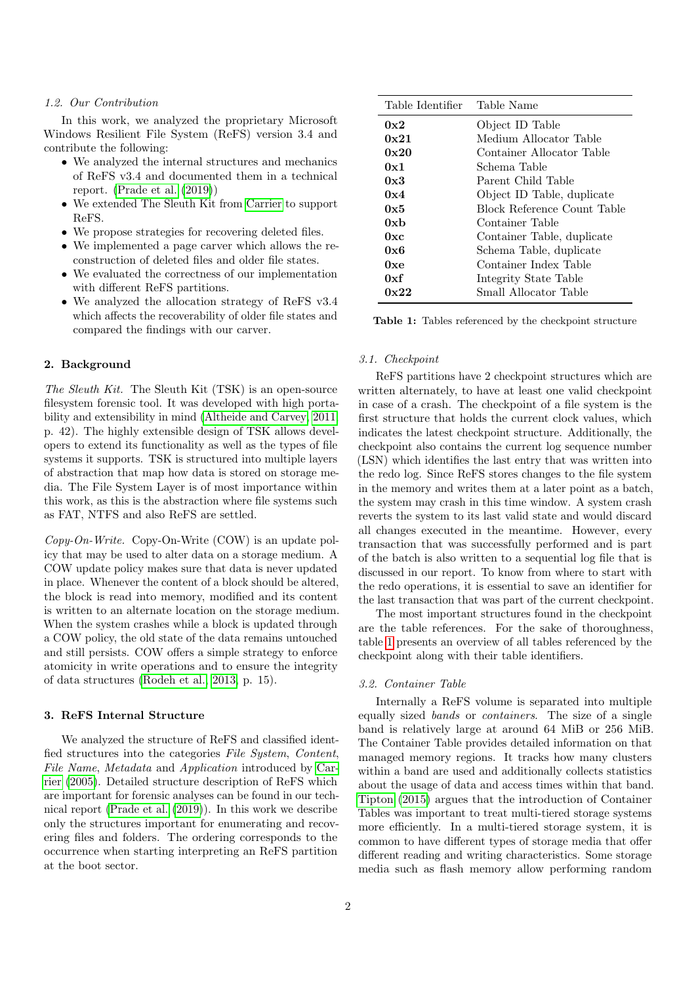#### 1.2. Our Contribution

In this work, we analyzed the proprietary Microsoft Windows Resilient File System (ReFS) version 3.4 and contribute the following:

- We analyzed the internal structures and mechanics of ReFS v3.4 and documented them in a technical report. [\(Prade et al.](#page-10-5) [\(2019\)](#page-10-5))
- We extended The Sleuth Kit from [Carrier](#page-10-6) to support ReFS.
- We propose strategies for recovering deleted files.
- We implemented a page carver which allows the reconstruction of deleted files and older file states.
- We evaluated the correctness of our implementation with different ReFS partitions.
- We analyzed the allocation strategy of ReFS v3.4 which affects the recoverability of older file states and compared the findings with our carver.

# 2. Background

The Sleuth Kit. The Sleuth Kit (TSK) is an open-source filesystem forensic tool. It was developed with high portability and extensibility in mind [\(Altheide and Carvey, 2011,](#page-10-7) p. 42). The highly extensible design of TSK allows developers to extend its functionality as well as the types of file systems it supports. TSK is structured into multiple layers of abstraction that map how data is stored on storage media. The File System Layer is of most importance within this work, as this is the abstraction where file systems such as FAT, NTFS and also ReFS are settled.

 $Copy$ -On-Write. Copy-On-Write (COW) is an update policy that may be used to alter data on a storage medium. A COW update policy makes sure that data is never updated in place. Whenever the content of a block should be altered, the block is read into memory, modified and its content is written to an alternate location on the storage medium. When the system crashes while a block is updated through a COW policy, the old state of the data remains untouched and still persists. COW offers a simple strategy to enforce atomicity in write operations and to ensure the integrity of data structures [\(Rodeh et al., 2013,](#page-10-8) p. 15).

#### 3. ReFS Internal Structure

We analyzed the structure of ReFS and classified identfied structures into the categories File System, Content, File Name, Metadata and Application introduced by [Car](#page-10-9)[rier](#page-10-9) [\(2005\)](#page-10-9). Detailed structure description of ReFS which are important for forensic analyses can be found in our technical report [\(Prade et al.](#page-10-5) [\(2019\)](#page-10-5)). In this work we describe only the structures important for enumerating and recovering files and folders. The ordering corresponds to the occurrence when starting interpreting an ReFS partition at the boot sector.

<span id="page-1-0"></span>

| Table Identifier Table Name |                             |
|-----------------------------|-----------------------------|
| 0x2                         | Object ID Table             |
| 0x21                        | Medium Allocator Table      |
| 0x20                        | Container Allocator Table   |
| 0x1                         | Schema Table                |
| 0x3                         | Parent Child Table          |
| 0x4                         | Object ID Table, duplicate  |
| 0x5                         | Block Reference Count Table |
| 0xb                         | Container Table             |
| 0xc                         | Container Table, duplicate  |
| 0x6                         | Schema Table, duplicate     |
| 0xe                         | Container Index Table       |
| 0xf                         | Integrity State Table       |
| 0x22                        | Small Allocator Table       |

Table 1: Tables referenced by the checkpoint structure

#### 3.1. Checkpoint

ReFS partitions have 2 checkpoint structures which are written alternately, to have at least one valid checkpoint in case of a crash. The checkpoint of a file system is the first structure that holds the current clock values, which indicates the latest checkpoint structure. Additionally, the checkpoint also contains the current log sequence number (LSN) which identifies the last entry that was written into the redo log. Since ReFS stores changes to the file system in the memory and writes them at a later point as a batch, the system may crash in this time window. A system crash reverts the system to its last valid state and would discard all changes executed in the meantime. However, every transaction that was successfully performed and is part of the batch is also written to a sequential log file that is discussed in our report. To know from where to start with the redo operations, it is essential to save an identifier for the last transaction that was part of the current checkpoint.

The most important structures found in the checkpoint are the table references. For the sake of thoroughness, table [1](#page-1-0) presents an overview of all tables referenced by the checkpoint along with their table identifiers.

# 3.2. Container Table

Internally a ReFS volume is separated into multiple equally sized bands or containers. The size of a single band is relatively large at around 64 MiB or 256 MiB. The Container Table provides detailed information on that managed memory regions. It tracks how many clusters within a band are used and additionally collects statistics about the usage of data and access times within that band. [Tipton](#page-10-10) [\(2015\)](#page-10-10) argues that the introduction of Container Tables was important to treat multi-tiered storage systems more efficiently. In a multi-tiered storage system, it is common to have different types of storage media that offer different reading and writing characteristics. Some storage media such as flash memory allow performing random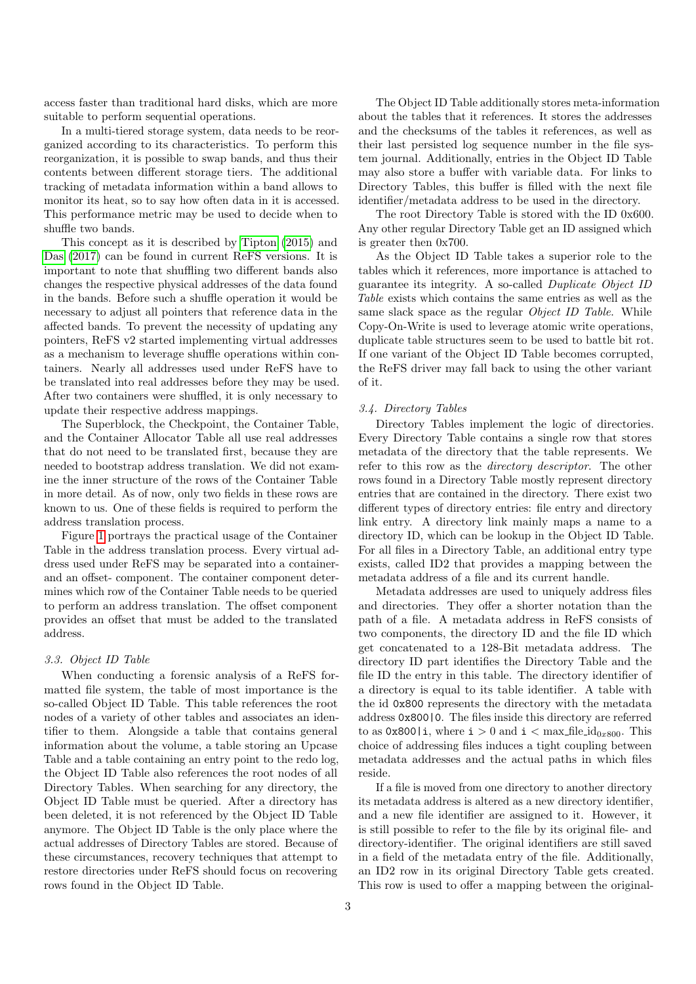access faster than traditional hard disks, which are more suitable to perform sequential operations.

In a multi-tiered storage system, data needs to be reorganized according to its characteristics. To perform this reorganization, it is possible to swap bands, and thus their contents between different storage tiers. The additional tracking of metadata information within a band allows to monitor its heat, so to say how often data in it is accessed. This performance metric may be used to decide when to shuffle two bands.

This concept as it is described by [Tipton](#page-10-10) [\(2015\)](#page-10-10) and [Das](#page-10-11) [\(2017\)](#page-10-11) can be found in current ReFS versions. It is important to note that shuffling two different bands also changes the respective physical addresses of the data found in the bands. Before such a shuffle operation it would be necessary to adjust all pointers that reference data in the affected bands. To prevent the necessity of updating any pointers, ReFS v2 started implementing virtual addresses as a mechanism to leverage shuffle operations within containers. Nearly all addresses used under ReFS have to be translated into real addresses before they may be used. After two containers were shuffled, it is only necessary to update their respective address mappings.

The Superblock, the Checkpoint, the Container Table, and the Container Allocator Table all use real addresses that do not need to be translated first, because they are needed to bootstrap address translation. We did not examine the inner structure of the rows of the Container Table in more detail. As of now, only two fields in these rows are known to us. One of these fields is required to perform the address translation process.

Figure [1](#page-3-0) portrays the practical usage of the Container Table in the address translation process. Every virtual address used under ReFS may be separated into a containerand an offset- component. The container component determines which row of the Container Table needs to be queried to perform an address translation. The offset component provides an offset that must be added to the translated address.

# 3.3. Object ID Table

When conducting a forensic analysis of a ReFS formatted file system, the table of most importance is the so-called Object ID Table. This table references the root nodes of a variety of other tables and associates an identifier to them. Alongside a table that contains general information about the volume, a table storing an Upcase Table and a table containing an entry point to the redo log, the Object ID Table also references the root nodes of all Directory Tables. When searching for any directory, the Object ID Table must be queried. After a directory has been deleted, it is not referenced by the Object ID Table anymore. The Object ID Table is the only place where the actual addresses of Directory Tables are stored. Because of these circumstances, recovery techniques that attempt to restore directories under ReFS should focus on recovering rows found in the Object ID Table.

The Object ID Table additionally stores meta-information about the tables that it references. It stores the addresses and the checksums of the tables it references, as well as their last persisted log sequence number in the file system journal. Additionally, entries in the Object ID Table may also store a buffer with variable data. For links to Directory Tables, this buffer is filled with the next file identifier/metadata address to be used in the directory.

The root Directory Table is stored with the ID 0x600. Any other regular Directory Table get an ID assigned which is greater then 0x700.

As the Object ID Table takes a superior role to the tables which it references, more importance is attached to guarantee its integrity. A so-called Duplicate Object ID Table exists which contains the same entries as well as the same slack space as the regular Object ID Table. While Copy-On-Write is used to leverage atomic write operations, duplicate table structures seem to be used to battle bit rot. If one variant of the Object ID Table becomes corrupted, the ReFS driver may fall back to using the other variant of it.

#### 3.4. Directory Tables

Directory Tables implement the logic of directories. Every Directory Table contains a single row that stores metadata of the directory that the table represents. We refer to this row as the directory descriptor. The other rows found in a Directory Table mostly represent directory entries that are contained in the directory. There exist two different types of directory entries: file entry and directory link entry. A directory link mainly maps a name to a directory ID, which can be lookup in the Object ID Table. For all files in a Directory Table, an additional entry type exists, called ID2 that provides a mapping between the metadata address of a file and its current handle.

Metadata addresses are used to uniquely address files and directories. They offer a shorter notation than the path of a file. A metadata address in ReFS consists of two components, the directory ID and the file ID which get concatenated to a 128-Bit metadata address. The directory ID part identifies the Directory Table and the file ID the entry in this table. The directory identifier of a directory is equal to its table identifier. A table with the id 0x800 represents the directory with the metadata address 0x800|0. The files inside this directory are referred to as  $0x800|i$ , where  $i > 0$  and  $i < \max$  file  $id_{0x800}$ . This choice of addressing files induces a tight coupling between metadata addresses and the actual paths in which files reside.

If a file is moved from one directory to another directory its metadata address is altered as a new directory identifier, and a new file identifier are assigned to it. However, it is still possible to refer to the file by its original file- and directory-identifier. The original identifiers are still saved in a field of the metadata entry of the file. Additionally, an ID2 row in its original Directory Table gets created. This row is used to offer a mapping between the original-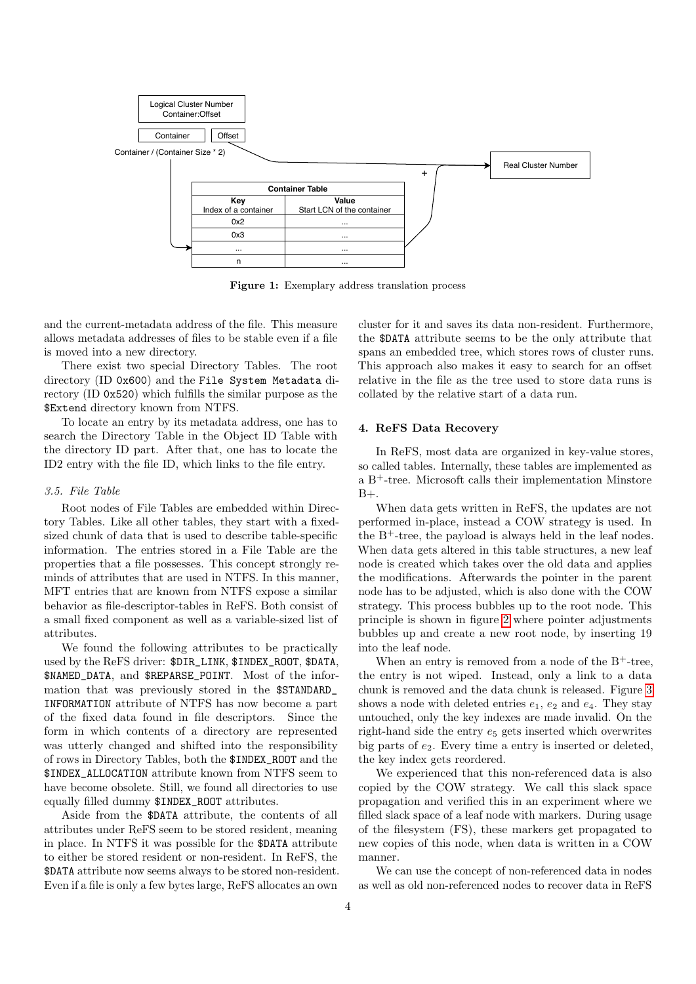<span id="page-3-0"></span>

Figure 1: Exemplary address translation process

and the current-metadata address of the file. This measure allows metadata addresses of files to be stable even if a file is moved into a new directory.

There exist two special Directory Tables. The root directory (ID 0x600) and the File System Metadata directory (ID 0x520) which fulfills the similar purpose as the \$Extend directory known from NTFS.

To locate an entry by its metadata address, one has to search the Directory Table in the Object ID Table with the directory ID part. After that, one has to locate the ID2 entry with the file ID, which links to the file entry.

# 3.5. File Table

Root nodes of File Tables are embedded within Directory Tables. Like all other tables, they start with a fixedsized chunk of data that is used to describe table-specific information. The entries stored in a File Table are the properties that a file possesses. This concept strongly reminds of attributes that are used in NTFS. In this manner, MFT entries that are known from NTFS expose a similar behavior as file-descriptor-tables in ReFS. Both consist of a small fixed component as well as a variable-sized list of attributes.

We found the following attributes to be practically used by the ReFS driver: \$DIR\_LINK, \$INDEX\_ROOT, \$DATA, \$NAMED\_DATA, and \$REPARSE\_POINT. Most of the information that was previously stored in the \$STANDARD\_ INFORMATION attribute of NTFS has now become a part of the fixed data found in file descriptors. Since the form in which contents of a directory are represented was utterly changed and shifted into the responsibility of rows in Directory Tables, both the \$INDEX\_ROOT and the \$INDEX\_ALLOCATION attribute known from NTFS seem to have become obsolete. Still, we found all directories to use equally filled dummy \$INDEX\_ROOT attributes.

Aside from the \$DATA attribute, the contents of all attributes under ReFS seem to be stored resident, meaning in place. In NTFS it was possible for the \$DATA attribute to either be stored resident or non-resident. In ReFS, the \$DATA attribute now seems always to be stored non-resident. Even if a file is only a few bytes large, ReFS allocates an own

cluster for it and saves its data non-resident. Furthermore, the \$DATA attribute seems to be the only attribute that spans an embedded tree, which stores rows of cluster runs. This approach also makes it easy to search for an offset relative in the file as the tree used to store data runs is collated by the relative start of a data run.

#### 4. ReFS Data Recovery

In ReFS, most data are organized in key-value stores, so called tables. Internally, these tables are implemented as a B<sup>+</sup>-tree. Microsoft calls their implementation Minstore  $B+$ .

When data gets written in ReFS, the updates are not performed in-place, instead a COW strategy is used. In the  $B^+$ -tree, the payload is always held in the leaf nodes. When data gets altered in this table structures, a new leaf node is created which takes over the old data and applies the modifications. Afterwards the pointer in the parent node has to be adjusted, which is also done with the COW strategy. This process bubbles up to the root node. This principle is shown in figure [2](#page-4-0) where pointer adjustments bubbles up and create a new root node, by inserting 19 into the leaf node.

When an entry is removed from a node of the  $B^+$ -tree, the entry is not wiped. Instead, only a link to a data chunk is removed and the data chunk is released. Figure [3](#page-4-1) shows a node with deleted entries  $e_1, e_2$  and  $e_4$ . They stay untouched, only the key indexes are made invalid. On the right-hand side the entry  $e_5$  gets inserted which overwrites big parts of  $e_2$ . Every time a entry is inserted or deleted, the key index gets reordered.

We experienced that this non-referenced data is also copied by the COW strategy. We call this slack space propagation and verified this in an experiment where we filled slack space of a leaf node with markers. During usage of the filesystem (FS), these markers get propagated to new copies of this node, when data is written in a COW manner.

We can use the concept of non-referenced data in nodes as well as old non-referenced nodes to recover data in ReFS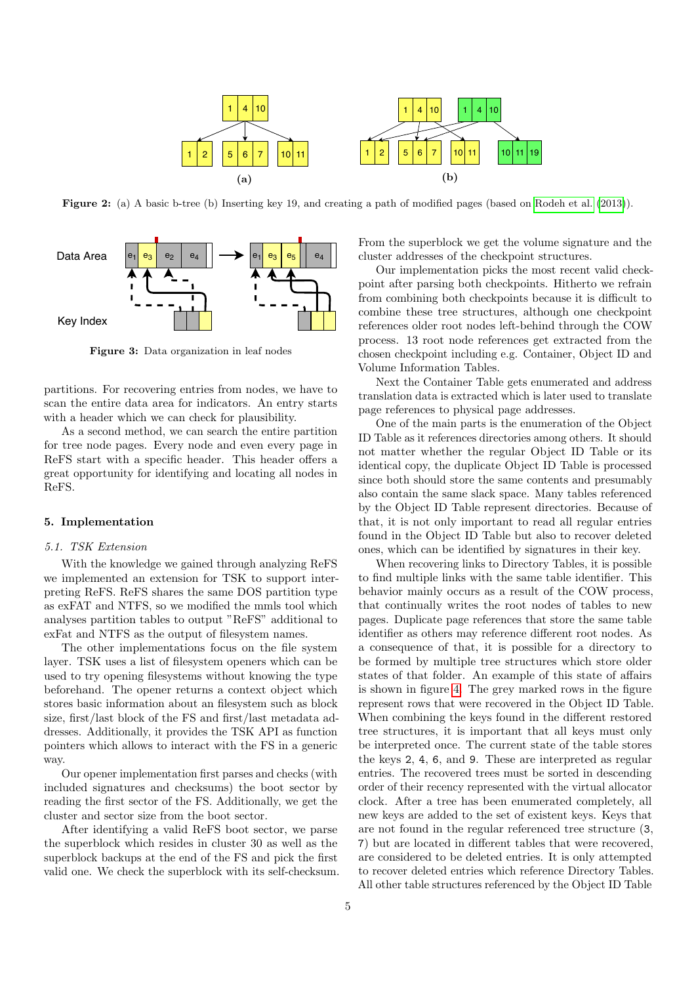

<span id="page-4-0"></span>Figure 2: (a) A basic b-tree (b) Inserting key 19, and creating a path of modified pages (based on [Rodeh et al.](#page-10-8) [\(2013\)](#page-10-8)).

<span id="page-4-1"></span>

Figure 3: Data organization in leaf nodes

partitions. For recovering entries from nodes, we have to scan the entire data area for indicators. An entry starts with a header which we can check for plausibility.

As a second method, we can search the entire partition for tree node pages. Every node and even every page in ReFS start with a specific header. This header offers a great opportunity for identifying and locating all nodes in ReFS.

# 5. Implementation

# 5.1. TSK Extension

With the knowledge we gained through analyzing ReFS we implemented an extension for TSK to support interpreting ReFS. ReFS shares the same DOS partition type as exFAT and NTFS, so we modified the mmls tool which analyses partition tables to output "ReFS" additional to exFat and NTFS as the output of filesystem names.

The other implementations focus on the file system layer. TSK uses a list of filesystem openers which can be used to try opening filesystems without knowing the type beforehand. The opener returns a context object which stores basic information about an filesystem such as block size, first/last block of the FS and first/last metadata addresses. Additionally, it provides the TSK API as function pointers which allows to interact with the FS in a generic way.

Our opener implementation first parses and checks (with included signatures and checksums) the boot sector by reading the first sector of the FS. Additionally, we get the cluster and sector size from the boot sector.

After identifying a valid ReFS boot sector, we parse the superblock which resides in cluster 30 as well as the superblock backups at the end of the FS and pick the first valid one. We check the superblock with its self-checksum.

From the superblock we get the volume signature and the cluster addresses of the checkpoint structures.

Our implementation picks the most recent valid checkpoint after parsing both checkpoints. Hitherto we refrain from combining both checkpoints because it is difficult to combine these tree structures, although one checkpoint references older root nodes left-behind through the COW process. 13 root node references get extracted from the chosen checkpoint including e.g. Container, Object ID and Volume Information Tables.

Next the Container Table gets enumerated and address translation data is extracted which is later used to translate page references to physical page addresses.

One of the main parts is the enumeration of the Object ID Table as it references directories among others. It should not matter whether the regular Object ID Table or its identical copy, the duplicate Object ID Table is processed since both should store the same contents and presumably also contain the same slack space. Many tables referenced by the Object ID Table represent directories. Because of that, it is not only important to read all regular entries found in the Object ID Table but also to recover deleted ones, which can be identified by signatures in their key.

When recovering links to Directory Tables, it is possible to find multiple links with the same table identifier. This behavior mainly occurs as a result of the COW process, that continually writes the root nodes of tables to new pages. Duplicate page references that store the same table identifier as others may reference different root nodes. As a consequence of that, it is possible for a directory to be formed by multiple tree structures which store older states of that folder. An example of this state of affairs is shown in figure [4.](#page-6-0) The grey marked rows in the figure represent rows that were recovered in the Object ID Table. When combining the keys found in the different restored tree structures, it is important that all keys must only be interpreted once. The current state of the table stores the keys 2, 4, 6, and 9. These are interpreted as regular entries. The recovered trees must be sorted in descending order of their recency represented with the virtual allocator clock. After a tree has been enumerated completely, all new keys are added to the set of existent keys. Keys that are not found in the regular referenced tree structure (3, 7) but are located in different tables that were recovered, are considered to be deleted entries. It is only attempted to recover deleted entries which reference Directory Tables. All other table structures referenced by the Object ID Table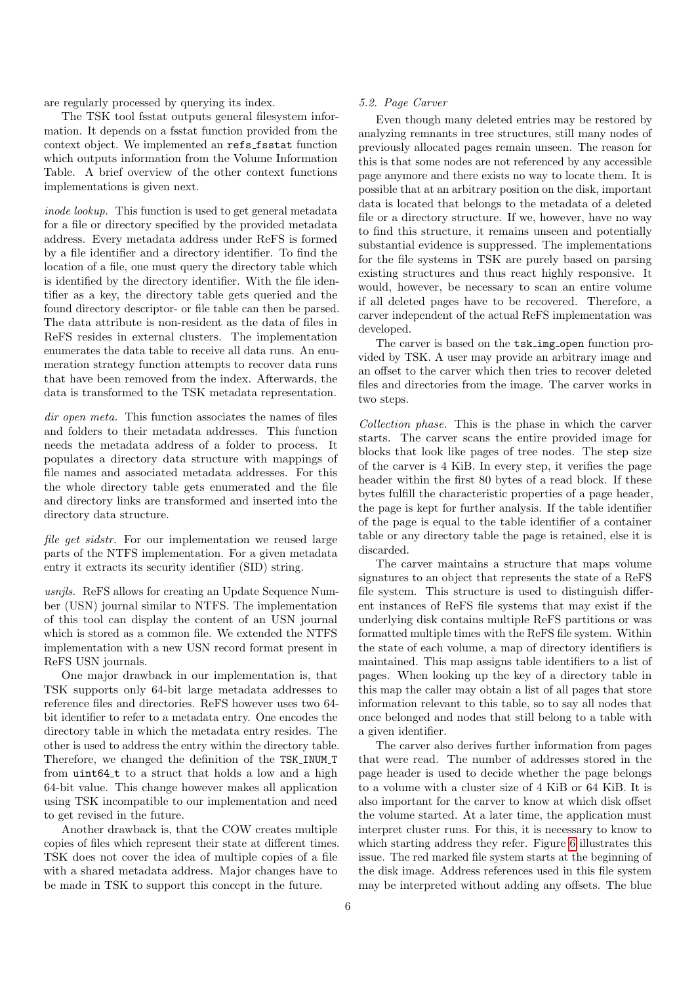are regularly processed by querying its index.

The TSK tool fsstat outputs general filesystem information. It depends on a fsstat function provided from the context object. We implemented an refs fsstat function which outputs information from the Volume Information Table. A brief overview of the other context functions implementations is given next.

inode lookup. This function is used to get general metadata for a file or directory specified by the provided metadata address. Every metadata address under ReFS is formed by a file identifier and a directory identifier. To find the location of a file, one must query the directory table which is identified by the directory identifier. With the file identifier as a key, the directory table gets queried and the found directory descriptor- or file table can then be parsed. The data attribute is non-resident as the data of files in ReFS resides in external clusters. The implementation enumerates the data table to receive all data runs. An enumeration strategy function attempts to recover data runs that have been removed from the index. Afterwards, the data is transformed to the TSK metadata representation.

dir open meta. This function associates the names of files and folders to their metadata addresses. This function needs the metadata address of a folder to process. It populates a directory data structure with mappings of file names and associated metadata addresses. For this the whole directory table gets enumerated and the file and directory links are transformed and inserted into the directory data structure.

file get sidstr. For our implementation we reused large parts of the NTFS implementation. For a given metadata entry it extracts its security identifier (SID) string.

usnjls. ReFS allows for creating an Update Sequence Number (USN) journal similar to NTFS. The implementation of this tool can display the content of an USN journal which is stored as a common file. We extended the NTFS implementation with a new USN record format present in ReFS USN journals.

One major drawback in our implementation is, that TSK supports only 64-bit large metadata addresses to reference files and directories. ReFS however uses two 64 bit identifier to refer to a metadata entry. One encodes the directory table in which the metadata entry resides. The other is used to address the entry within the directory table. Therefore, we changed the definition of the TSK\_INUM\_T from uint64\_t to a struct that holds a low and a high 64-bit value. This change however makes all application using TSK incompatible to our implementation and need to get revised in the future.

Another drawback is, that the COW creates multiple copies of files which represent their state at different times. TSK does not cover the idea of multiple copies of a file with a shared metadata address. Major changes have to be made in TSK to support this concept in the future.

#### 5.2. Page Carver

Even though many deleted entries may be restored by analyzing remnants in tree structures, still many nodes of previously allocated pages remain unseen. The reason for this is that some nodes are not referenced by any accessible page anymore and there exists no way to locate them. It is possible that at an arbitrary position on the disk, important data is located that belongs to the metadata of a deleted file or a directory structure. If we, however, have no way to find this structure, it remains unseen and potentially substantial evidence is suppressed. The implementations for the file systems in TSK are purely based on parsing existing structures and thus react highly responsive. It would, however, be necessary to scan an entire volume if all deleted pages have to be recovered. Therefore, a carver independent of the actual ReFS implementation was developed.

The carver is based on the  $\text{tsk}$  img open function provided by TSK. A user may provide an arbitrary image and an offset to the carver which then tries to recover deleted files and directories from the image. The carver works in two steps.

Collection phase. This is the phase in which the carver starts. The carver scans the entire provided image for blocks that look like pages of tree nodes. The step size of the carver is 4 KiB. In every step, it verifies the page header within the first 80 bytes of a read block. If these bytes fulfill the characteristic properties of a page header, the page is kept for further analysis. If the table identifier of the page is equal to the table identifier of a container table or any directory table the page is retained, else it is discarded.

The carver maintains a structure that maps volume signatures to an object that represents the state of a ReFS file system. This structure is used to distinguish different instances of ReFS file systems that may exist if the underlying disk contains multiple ReFS partitions or was formatted multiple times with the ReFS file system. Within the state of each volume, a map of directory identifiers is maintained. This map assigns table identifiers to a list of pages. When looking up the key of a directory table in this map the caller may obtain a list of all pages that store information relevant to this table, so to say all nodes that once belonged and nodes that still belong to a table with a given identifier.

The carver also derives further information from pages that were read. The number of addresses stored in the page header is used to decide whether the page belongs to a volume with a cluster size of 4 KiB or 64 KiB. It is also important for the carver to know at which disk offset the volume started. At a later time, the application must interpret cluster runs. For this, it is necessary to know to which starting address they refer. Figure [6](#page-6-1) illustrates this issue. The red marked file system starts at the beginning of the disk image. Address references used in this file system may be interpreted without adding any offsets. The blue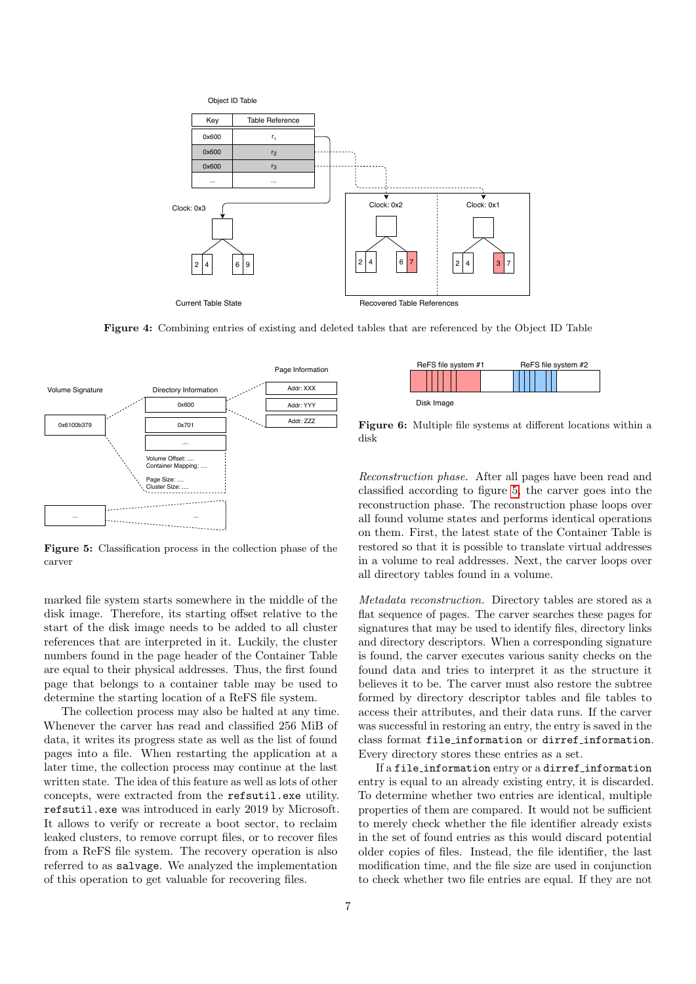<span id="page-6-0"></span>

Figure 4: Combining entries of existing and deleted tables that are referenced by the Object ID Table

<span id="page-6-2"></span>

Figure 5: Classification process in the collection phase of the carver

marked file system starts somewhere in the middle of the disk image. Therefore, its starting offset relative to the start of the disk image needs to be added to all cluster references that are interpreted in it. Luckily, the cluster numbers found in the page header of the Container Table are equal to their physical addresses. Thus, the first found page that belongs to a container table may be used to determine the starting location of a ReFS file system.

The collection process may also be halted at any time. Whenever the carver has read and classified 256 MiB of data, it writes its progress state as well as the list of found pages into a file. When restarting the application at a later time, the collection process may continue at the last written state. The idea of this feature as well as lots of other concepts, were extracted from the refsutil.exe utility. refsutil.exe was introduced in early 2019 by Microsoft. It allows to verify or recreate a boot sector, to reclaim leaked clusters, to remove corrupt files, or to recover files from a ReFS file system. The recovery operation is also referred to as salvage. We analyzed the implementation of this operation to get valuable for recovering files.

<span id="page-6-1"></span>

Figure 6: Multiple file systems at different locations within a disk

Reconstruction phase. After all pages have been read and classified according to figure [5,](#page-6-2) the carver goes into the reconstruction phase. The reconstruction phase loops over all found volume states and performs identical operations on them. First, the latest state of the Container Table is restored so that it is possible to translate virtual addresses in a volume to real addresses. Next, the carver loops over all directory tables found in a volume.

Metadata reconstruction. Directory tables are stored as a flat sequence of pages. The carver searches these pages for signatures that may be used to identify files, directory links and directory descriptors. When a corresponding signature is found, the carver executes various sanity checks on the found data and tries to interpret it as the structure it believes it to be. The carver must also restore the subtree formed by directory descriptor tables and file tables to access their attributes, and their data runs. If the carver was successful in restoring an entry, the entry is saved in the class format file information or dirref information. Every directory stores these entries as a set.

If a file\_information entry or a dirref\_information entry is equal to an already existing entry, it is discarded. To determine whether two entries are identical, multiple properties of them are compared. It would not be sufficient to merely check whether the file identifier already exists in the set of found entries as this would discard potential older copies of files. Instead, the file identifier, the last modification time, and the file size are used in conjunction to check whether two file entries are equal. If they are not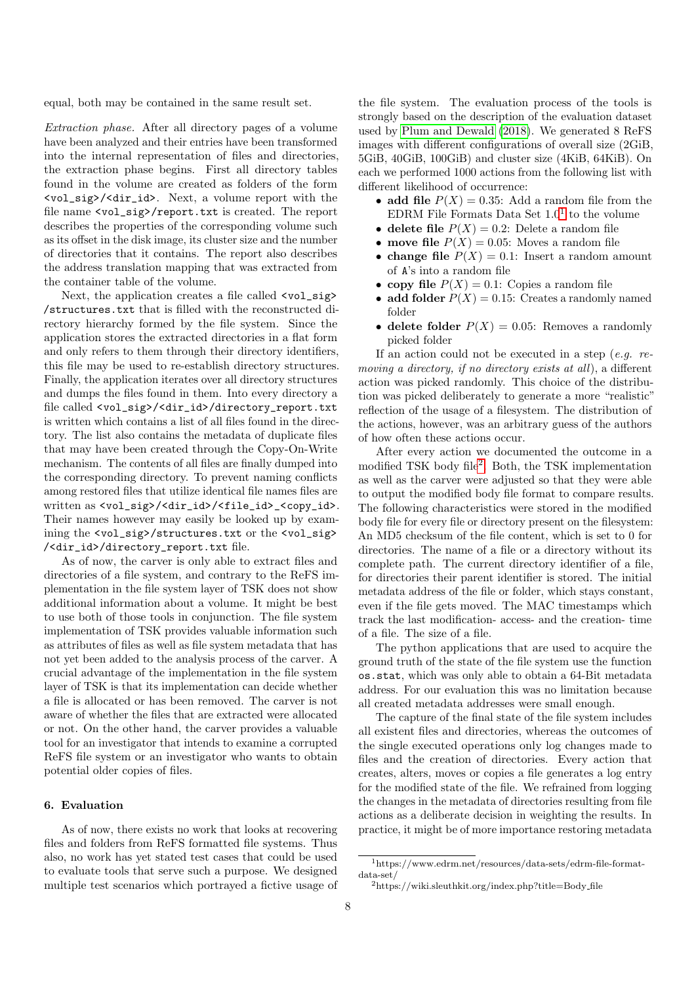equal, both may be contained in the same result set.

Extraction phase. After all directory pages of a volume have been analyzed and their entries have been transformed into the internal representation of files and directories, the extraction phase begins. First all directory tables found in the volume are created as folders of the form <vol\_sig>/<dir\_id>. Next, a volume report with the file name <vol\_sig>/report.txt is created. The report describes the properties of the corresponding volume such as its offset in the disk image, its cluster size and the number of directories that it contains. The report also describes the address translation mapping that was extracted from the container table of the volume.

Next, the application creates a file called <vol\_sig> /structures.txt that is filled with the reconstructed directory hierarchy formed by the file system. Since the application stores the extracted directories in a flat form and only refers to them through their directory identifiers, this file may be used to re-establish directory structures. Finally, the application iterates over all directory structures and dumps the files found in them. Into every directory a file called <vol\_sig>/<dir\_id>/directory\_report.txt is written which contains a list of all files found in the directory. The list also contains the metadata of duplicate files that may have been created through the Copy-On-Write mechanism. The contents of all files are finally dumped into the corresponding directory. To prevent naming conflicts among restored files that utilize identical file names files are written as <vol\_sig>/<dir\_id>/<file\_id>\_<copy\_id>. Their names however may easily be looked up by examining the <vol\_sig>/structures.txt or the <vol\_sig> /<dir\_id>/directory\_report.txt file.

As of now, the carver is only able to extract files and directories of a file system, and contrary to the ReFS implementation in the file system layer of TSK does not show additional information about a volume. It might be best to use both of those tools in conjunction. The file system implementation of TSK provides valuable information such as attributes of files as well as file system metadata that has not yet been added to the analysis process of the carver. A crucial advantage of the implementation in the file system layer of TSK is that its implementation can decide whether a file is allocated or has been removed. The carver is not aware of whether the files that are extracted were allocated or not. On the other hand, the carver provides a valuable tool for an investigator that intends to examine a corrupted ReFS file system or an investigator who wants to obtain potential older copies of files.

# 6. Evaluation

As of now, there exists no work that looks at recovering files and folders from ReFS formatted file systems. Thus also, no work has yet stated test cases that could be used to evaluate tools that serve such a purpose. We designed multiple test scenarios which portrayed a fictive usage of

the file system. The evaluation process of the tools is strongly based on the description of the evaluation dataset used by [Plum and Dewald](#page-10-12) [\(2018\)](#page-10-12). We generated 8 ReFS images with different configurations of overall size (2GiB, 5GiB, 40GiB, 100GiB) and cluster size (4KiB, 64KiB). On each we performed 1000 actions from the following list with different likelihood of occurrence:

- add file  $P(X) = 0.35$ : Add a random file from the EDRM File Formats Data Set  $1.0<sup>1</sup>$  $1.0<sup>1</sup>$  to the volume
- delete file  $P(X) = 0.2$ : Delete a random file
- move file  $P(X) = 0.05$ : Moves a random file
- change file  $P(X) = 0.1$ : Insert a random amount of A's into a random file
- copy file  $P(X) = 0.1$ : Copies a random file
- add folder  $P(X) = 0.15$ : Creates a randomly named folder
- delete folder  $P(X) = 0.05$ : Removes a randomly picked folder

If an action could not be executed in a step  $(e,q.$  removing a directory, if no directory exists at all), a different action was picked randomly. This choice of the distribution was picked deliberately to generate a more "realistic" reflection of the usage of a filesystem. The distribution of the actions, however, was an arbitrary guess of the authors of how often these actions occur.

After every action we documented the outcome in a modified TSK body file<sup>[2](#page-7-1)</sup>. Both, the TSK implementation as well as the carver were adjusted so that they were able to output the modified body file format to compare results. The following characteristics were stored in the modified body file for every file or directory present on the filesystem: An MD5 checksum of the file content, which is set to 0 for directories. The name of a file or a directory without its complete path. The current directory identifier of a file, for directories their parent identifier is stored. The initial metadata address of the file or folder, which stays constant, even if the file gets moved. The MAC timestamps which track the last modification- access- and the creation- time of a file. The size of a file.

The python applications that are used to acquire the ground truth of the state of the file system use the function os.stat, which was only able to obtain a 64-Bit metadata address. For our evaluation this was no limitation because all created metadata addresses were small enough.

The capture of the final state of the file system includes all existent files and directories, whereas the outcomes of the single executed operations only log changes made to files and the creation of directories. Every action that creates, alters, moves or copies a file generates a log entry for the modified state of the file. We refrained from logging the changes in the metadata of directories resulting from file actions as a deliberate decision in weighting the results. In practice, it might be of more importance restoring metadata

<span id="page-7-0"></span><sup>1</sup>https://www.edrm.net/resources/data-sets/edrm-file-formatdata-set/

<span id="page-7-1"></span> $2$ https://wiki.sleuthkit.org/index.php?title=Body\_file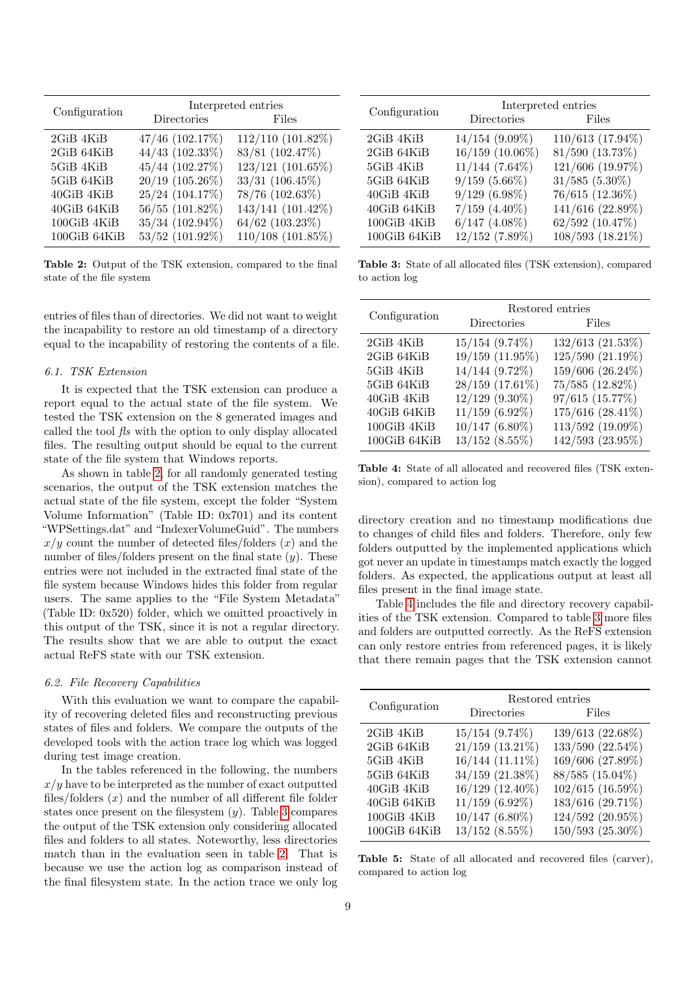<span id="page-8-0"></span>

| Configuration | Interpreted entries |                   |  |
|---------------|---------------------|-------------------|--|
|               | Directories         | Files             |  |
| 2GiB 4KiB     | 47/46 (102.17%)     | 112/110 (101.82%) |  |
| 2GiB 64KiB    | 44/43 (102.33%)     | 83/81 (102.47%)   |  |
| 5GiB 4KiB     | 45/44 (102.27%)     | 123/121 (101.65%) |  |
| 5GiB 64KiB    | 20/19 (105.26%)     | $33/31$ (106.45%) |  |
| 40GiB 4KiB    | 25/24 (104.17%)     | 78/76 (102.63%)   |  |
| 40GiB 64KiB   | 56/55 (101.82%)     | 143/141 (101.42%) |  |
| 100GiB 4KiB   | 35/34 (102.94%)     | 64/62 (103.23%)   |  |
| 100GiB 64KiB  | 53/52 (101.92%)     | 110/108 (101.85%) |  |

Table 2: Output of the TSK extension, compared to the final state of the file system

entries of files than of directories. We did not want to weight the incapability to restore an old timestamp of a directory equal to the incapability of restoring the contents of a file.

#### 6.1. TSK Extension

It is expected that the TSK extension can produce a report equal to the actual state of the file system. We tested the TSK extension on the 8 generated images and called the tool fls with the option to only display allocated files. The resulting output should be equal to the current state of the file system that Windows reports.

As shown in table [2,](#page-8-0) for all randomly generated testing scenarios, the output of the TSK extension matches the actual state of the file system, except the folder "System Volume Information" (Table ID: 0x701) and its content "WPSettings.dat" and "IndexerVolumeGuid". The numbers  $x/y$  count the number of detected files/folders  $(x)$  and the number of files/folders present on the final state  $(y)$ . These entries were not included in the extracted final state of the file system because Windows hides this folder from regular users. The same applies to the "File System Metadata" (Table ID: 0x520) folder, which we omitted proactively in this output of the TSK, since it is not a regular directory. The results show that we are able to output the exact actual ReFS state with our TSK extension.

# 6.2. File Recovery Capabilities

With this evaluation we want to compare the capability of recovering deleted files and reconstructing previous states of files and folders. We compare the outputs of the developed tools with the action trace log which was logged during test image creation.

In the tables referenced in the following, the numbers  $x/y$  have to be interpreted as the number of exact outputted files/folders  $(x)$  and the number of all different file folder states once present on the filesystem  $(y)$ . Table [3](#page-8-1) compares the output of the TSK extension only considering allocated files and folders to all states. Noteworthy, less directories match than in the evaluation seen in table [2.](#page-8-0) That is because we use the action log as comparison instead of the final filesystem state. In the action trace we only log

<span id="page-8-1"></span>

|               | Interpreted entries |                     |  |
|---------------|---------------------|---------------------|--|
| Configuration | Directories         | Files               |  |
| 2GiB 4KiB     | $14/154$ (9.09%)    | 110/613 (17.94%)    |  |
| 2GiB 64KiB    | 16/159 (10.06%)     | 81/590 (13.73%)     |  |
| 5GiB 4KiB     | $11/144$ (7.64%)    | 121/606 (19.97%)    |  |
| 5GiB 64KiB    | $9/159(5.66\%)$     | $31/585$ $(5.30\%)$ |  |
| 40GiB 4KiB    | $9/129(6.98\%)$     | 76/615 (12.36%)     |  |
| 40GiB 64KiB   | $7/159$ $(4.40\%)$  | 141/616 (22.89%)    |  |
| 100GiB 4KiB   | $6/147$ $(4.08\%)$  | 62/592 (10.47%)     |  |
| 100GiB64KiB   | $12/152$ (7.89%)    | 108/593 (18.21%)    |  |

Table 3: State of all allocated files (TSK extension), compared to action log

<span id="page-8-2"></span>

|               | Restored entries    |                  |  |
|---------------|---------------------|------------------|--|
| Configuration | Directories         | Files            |  |
| $2GiB$ $4KiB$ | $15/154$ $(9.74\%)$ | 132/613 (21.53%) |  |
| 2GiB 64KiB    | 19/159 (11.95%)     | 125/590 (21.19%) |  |
| 5GiB 4KiB     | 14/144 (9.72%)      | 159/606 (26.24%) |  |
| 5GiB 64KiB    | 28/159 (17.61%)     | 75/585 (12.82%)  |  |
| 40GiB 4KiB    | 12/129 (9.30%)      | 97/615 (15.77%)  |  |
| 40GiB 64KiB   | $11/159$ (6.92%)    | 175/616 (28.41%) |  |
| 100GiB 4KiB   | $10/147$ $(6.80\%)$ | 113/592 (19.09%) |  |
| 100GiB 64KiB  | $13/152$ $(8.55\%)$ | 142/593 (23.95%) |  |

Table 4: State of all allocated and recovered files (TSK extension), compared to action log

directory creation and no timestamp modifications due to changes of child files and folders. Therefore, only few folders outputted by the implemented applications which got never an update in timestamps match exactly the logged folders. As expected, the applications output at least all files present in the final image state.

Table [4](#page-8-2) includes the file and directory recovery capabilities of the TSK extension. Compared to table [3](#page-8-1) more files and folders are outputted correctly. As the ReFS extension can only restore entries from referenced pages, it is likely that there remain pages that the TSK extension cannot

<span id="page-8-3"></span>

| Configuration | Restored entries<br>Directories<br>Files |                  |  |
|---------------|------------------------------------------|------------------|--|
|               |                                          |                  |  |
| 2GiB 4KiB     | $15/154$ $(9.74\%)$                      | 139/613 (22.68%) |  |
| 2GiB 64KiB    | $21/159$ $(13.21\%)$                     | 133/590 (22.54%) |  |
| 5GiB 4KiB     | 16/144 (11.11%)                          | 169/606 (27.89%) |  |
| 5GiB 64KiB    | 34/159 (21.38%)                          | 88/585 (15.04%)  |  |
| 40GiB 4KiB    | 16/129 (12.40%)                          | 102/615 (16.59%) |  |
| 40GiB 64KiB   | $11/159$ (6.92%)                         | 183/616 (29.71%) |  |
| 100GiB 4KiB   | $10/147$ $(6.80\%)$                      | 124/592 (20.95%) |  |
| 100GiB 64KiB  | $13/152$ $(8.55\%)$                      | 150/593 (25.30%) |  |
|               |                                          |                  |  |

Table 5: State of all allocated and recovered files (carver), compared to action log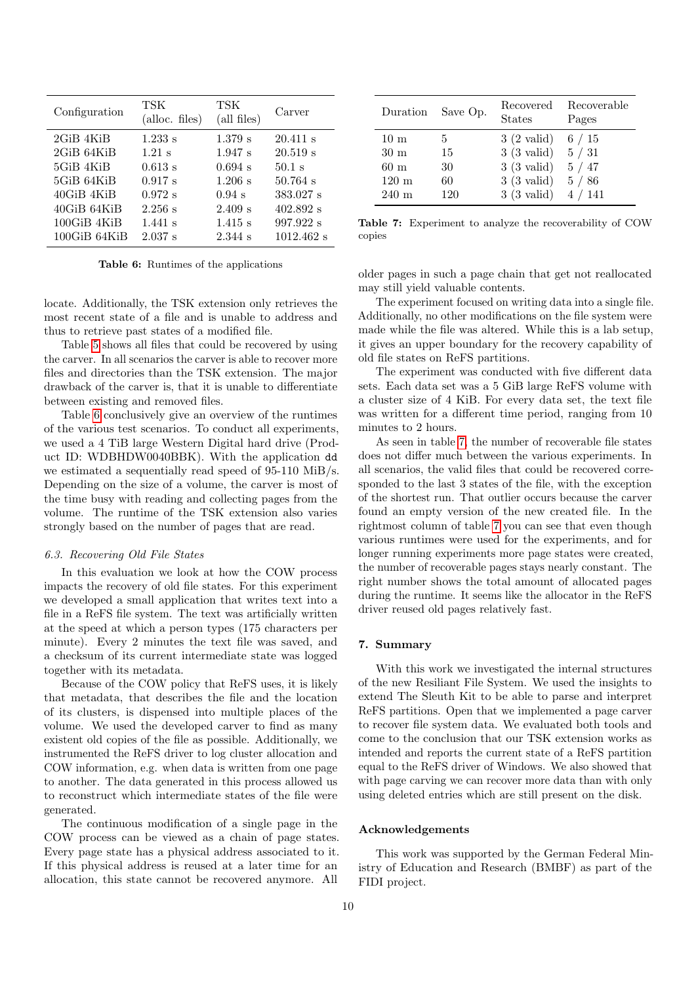<span id="page-9-0"></span>

| Configuration      | TSK<br>$(alloc.$ files) | TSK<br>$\text{(all files)}$ | Carver       |
|--------------------|-------------------------|-----------------------------|--------------|
| 2GiB 4KiB          | $1.233$ s               | $1.379$ s                   | $20.411$ s   |
| 2GiB 64KiB         | $1.21$ s                | $1.947$ s                   | 20.519 s     |
| 5GiB 4KiB          | 0.613 s                 | $0.694$ s                   | $50.1$ s     |
| 5GiB 64KiB         | 0.917 s                 | $1.206$ s                   | $50.764$ s   |
| $40GHz$ $4KiB$     | 0.972 s                 | $0.94$ s                    | 383.027 s    |
| 40GiB 64KiB        | 2.256 s                 | 2.409 s                     | $402.892$ s  |
| $100$ GiB $4$ KiB  | $1.441$ s               | $1.415$ s                   | 997.922 s    |
| $100$ GiB $64$ KiB | $2.037$ s               | 2.344 s                     | $1012.462$ s |

Table 6: Runtimes of the applications

locate. Additionally, the TSK extension only retrieves the most recent state of a file and is unable to address and thus to retrieve past states of a modified file.

Table [5](#page-8-3) shows all files that could be recovered by using the carver. In all scenarios the carver is able to recover more files and directories than the TSK extension. The major drawback of the carver is, that it is unable to differentiate between existing and removed files.

Table [6](#page-9-0) conclusively give an overview of the runtimes of the various test scenarios. To conduct all experiments, we used a 4 TiB large Western Digital hard drive (Product ID: WDBHDW0040BBK). With the application dd we estimated a sequentially read speed of 95-110 MiB/s. Depending on the size of a volume, the carver is most of the time busy with reading and collecting pages from the volume. The runtime of the TSK extension also varies strongly based on the number of pages that are read.

#### 6.3. Recovering Old File States

In this evaluation we look at how the COW process impacts the recovery of old file states. For this experiment we developed a small application that writes text into a file in a ReFS file system. The text was artificially written at the speed at which a person types (175 characters per minute). Every 2 minutes the text file was saved, and a checksum of its current intermediate state was logged together with its metadata.

Because of the COW policy that ReFS uses, it is likely that metadata, that describes the file and the location of its clusters, is dispensed into multiple places of the volume. We used the developed carver to find as many existent old copies of the file as possible. Additionally, we instrumented the ReFS driver to log cluster allocation and COW information, e.g. when data is written from one page to another. The data generated in this process allowed us to reconstruct which intermediate states of the file were generated.

The continuous modification of a single page in the COW process can be viewed as a chain of page states. Every page state has a physical address associated to it. If this physical address is reused at a later time for an allocation, this state cannot be recovered anymore. All

<span id="page-9-1"></span>

| Duration        | Save Op. | Recovered<br><b>States</b> | Recoverable<br>Pages |
|-----------------|----------|----------------------------|----------------------|
| $10 \text{ m}$  | 5        | $3(2 \text{ valid})$       | 6/15                 |
| $30 \text{ m}$  | 15       | $3(3 \text{ valid})$       | 5/31                 |
| 60 m            | 30       | $3(3 \text{ valid})$       | 5/47                 |
| $120 \text{ m}$ | 60       | $3(3 \text{ valid})$       | 5/86                 |
| $240 \text{ m}$ | 120      | $3(3 \text{ valid})$       | 4/141                |

Table 7: Experiment to analyze the recoverability of COW copies

older pages in such a page chain that get not reallocated may still yield valuable contents.

The experiment focused on writing data into a single file. Additionally, no other modifications on the file system were made while the file was altered. While this is a lab setup, it gives an upper boundary for the recovery capability of old file states on ReFS partitions.

The experiment was conducted with five different data sets. Each data set was a 5 GiB large ReFS volume with a cluster size of 4 KiB. For every data set, the text file was written for a different time period, ranging from 10 minutes to 2 hours.

As seen in table [7,](#page-9-1) the number of recoverable file states does not differ much between the various experiments. In all scenarios, the valid files that could be recovered corresponded to the last 3 states of the file, with the exception of the shortest run. That outlier occurs because the carver found an empty version of the new created file. In the rightmost column of table [7](#page-9-1) you can see that even though various runtimes were used for the experiments, and for longer running experiments more page states were created, the number of recoverable pages stays nearly constant. The right number shows the total amount of allocated pages during the runtime. It seems like the allocator in the ReFS driver reused old pages relatively fast.

# 7. Summary

With this work we investigated the internal structures of the new Resiliant File System. We used the insights to extend The Sleuth Kit to be able to parse and interpret ReFS partitions. Open that we implemented a page carver to recover file system data. We evaluated both tools and come to the conclusion that our TSK extension works as intended and reports the current state of a ReFS partition equal to the ReFS driver of Windows. We also showed that with page carving we can recover more data than with only using deleted entries which are still present on the disk.

# Acknowledgements

This work was supported by the German Federal Ministry of Education and Research (BMBF) as part of the FIDI project.